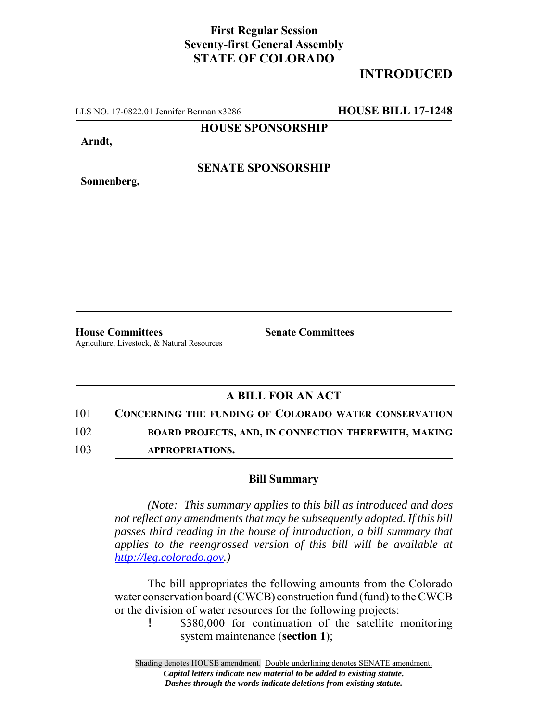### **First Regular Session Seventy-first General Assembly STATE OF COLORADO**

## **INTRODUCED**

LLS NO. 17-0822.01 Jennifer Berman x3286 **HOUSE BILL 17-1248**

**HOUSE SPONSORSHIP**

**Arndt,**

**Sonnenberg,**

#### **SENATE SPONSORSHIP**

**House Committees Senate Committees** Agriculture, Livestock, & Natural Resources

#### **A BILL FOR AN ACT**

101 **CONCERNING THE FUNDING OF COLORADO WATER CONSERVATION**

102 **BOARD PROJECTS, AND, IN CONNECTION THEREWITH, MAKING**

103 **APPROPRIATIONS.**

#### **Bill Summary**

*(Note: This summary applies to this bill as introduced and does not reflect any amendments that may be subsequently adopted. If this bill passes third reading in the house of introduction, a bill summary that applies to the reengrossed version of this bill will be available at http://leg.colorado.gov.)*

The bill appropriates the following amounts from the Colorado water conservation board (CWCB) construction fund (fund) to the CWCB or the division of water resources for the following projects:

> ! \$380,000 for continuation of the satellite monitoring system maintenance (**section 1**);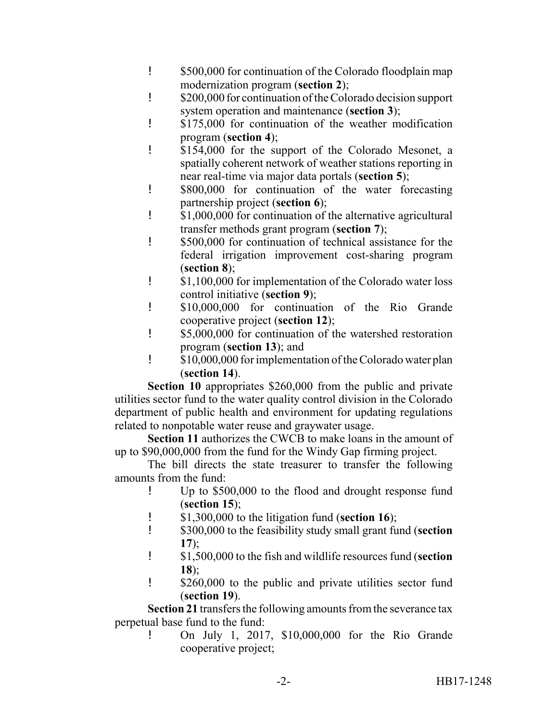- ! \$500,000 for continuation of the Colorado floodplain map modernization program (**section 2**);
- ! \$200,000 for continuation of the Colorado decision support system operation and maintenance (**section 3**);
- ! \$175,000 for continuation of the weather modification program (**section 4**);
- ! \$154,000 for the support of the Colorado Mesonet, a spatially coherent network of weather stations reporting in near real-time via major data portals (**section 5**);
- ! \$800,000 for continuation of the water forecasting partnership project (**section 6**);
- ! \$1,000,000 for continuation of the alternative agricultural transfer methods grant program (**section 7**);
- ! \$500,000 for continuation of technical assistance for the federal irrigation improvement cost-sharing program (**section 8**);
- ! \$1,100,000 for implementation of the Colorado water loss control initiative (**section 9**);
- ! \$10,000,000 for continuation of the Rio Grande cooperative project (**section 12**);
- ! \$5,000,000 for continuation of the watershed restoration program (**section 13**); and
- ! \$10,000,000 for implementation of the Colorado water plan (**section 14**).

**Section 10** appropriates \$260,000 from the public and private utilities sector fund to the water quality control division in the Colorado department of public health and environment for updating regulations related to nonpotable water reuse and graywater usage.

**Section 11** authorizes the CWCB to make loans in the amount of up to \$90,000,000 from the fund for the Windy Gap firming project.

The bill directs the state treasurer to transfer the following amounts from the fund:

- ! Up to \$500,000 to the flood and drought response fund (**section 15**);
- ! \$1,300,000 to the litigation fund (**section 16**);
- ! \$300,000 to the feasibility study small grant fund (**section 17**);
- ! \$1,500,000 to the fish and wildlife resources fund (**section 18**);
- ! \$260,000 to the public and private utilities sector fund (**section 19**).

**Section 21** transfers the following amounts from the severance tax perpetual base fund to the fund:

! On July 1, 2017, \$10,000,000 for the Rio Grande cooperative project;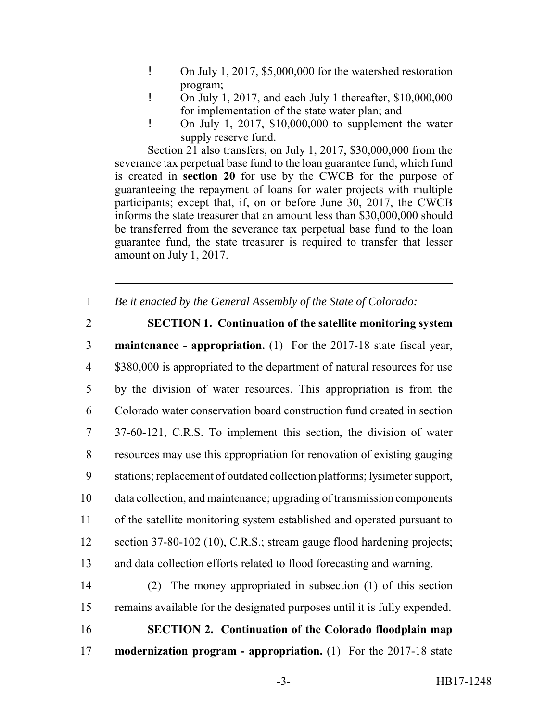- ! On July 1, 2017, \$5,000,000 for the watershed restoration program;
- ! On July 1, 2017, and each July 1 thereafter, \$10,000,000 for implementation of the state water plan; and
- ! On July 1, 2017, \$10,000,000 to supplement the water supply reserve fund.

Section 21 also transfers, on July 1, 2017, \$30,000,000 from the severance tax perpetual base fund to the loan guarantee fund, which fund is created in **section 20** for use by the CWCB for the purpose of guaranteeing the repayment of loans for water projects with multiple participants; except that, if, on or before June 30, 2017, the CWCB informs the state treasurer that an amount less than \$30,000,000 should be transferred from the severance tax perpetual base fund to the loan guarantee fund, the state treasurer is required to transfer that lesser amount on July 1, 2017.

1 *Be it enacted by the General Assembly of the State of Colorado:*

2 **SECTION 1. Continuation of the satellite monitoring system**

 **maintenance - appropriation.** (1) For the 2017-18 state fiscal year, 4 \$380,000 is appropriated to the department of natural resources for use by the division of water resources. This appropriation is from the Colorado water conservation board construction fund created in section 37-60-121, C.R.S. To implement this section, the division of water resources may use this appropriation for renovation of existing gauging stations; replacement of outdated collection platforms; lysimeter support, data collection, and maintenance; upgrading of transmission components of the satellite monitoring system established and operated pursuant to 12 section 37-80-102 (10), C.R.S.; stream gauge flood hardening projects; and data collection efforts related to flood forecasting and warning.

14 (2) The money appropriated in subsection (1) of this section 15 remains available for the designated purposes until it is fully expended.

16 **SECTION 2. Continuation of the Colorado floodplain map** 17 **modernization program - appropriation.** (1) For the 2017-18 state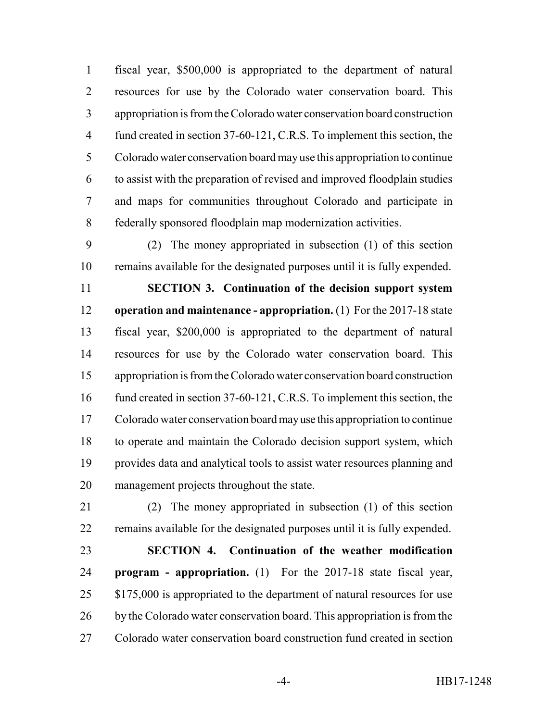fiscal year, \$500,000 is appropriated to the department of natural resources for use by the Colorado water conservation board. This appropriation is from the Colorado water conservation board construction 4 fund created in section 37-60-121, C.R.S. To implement this section, the Colorado water conservation board may use this appropriation to continue to assist with the preparation of revised and improved floodplain studies and maps for communities throughout Colorado and participate in federally sponsored floodplain map modernization activities.

 (2) The money appropriated in subsection (1) of this section remains available for the designated purposes until it is fully expended.

 **SECTION 3. Continuation of the decision support system operation and maintenance - appropriation.** (1) For the 2017-18 state fiscal year, \$200,000 is appropriated to the department of natural resources for use by the Colorado water conservation board. This appropriation is from the Colorado water conservation board construction 16 fund created in section 37-60-121, C.R.S. To implement this section, the Colorado water conservation board may use this appropriation to continue to operate and maintain the Colorado decision support system, which provides data and analytical tools to assist water resources planning and management projects throughout the state.

 (2) The money appropriated in subsection (1) of this section remains available for the designated purposes until it is fully expended.

 **SECTION 4. Continuation of the weather modification program - appropriation.** (1) For the 2017-18 state fiscal year, 25 \$175,000 is appropriated to the department of natural resources for use 26 by the Colorado water conservation board. This appropriation is from the Colorado water conservation board construction fund created in section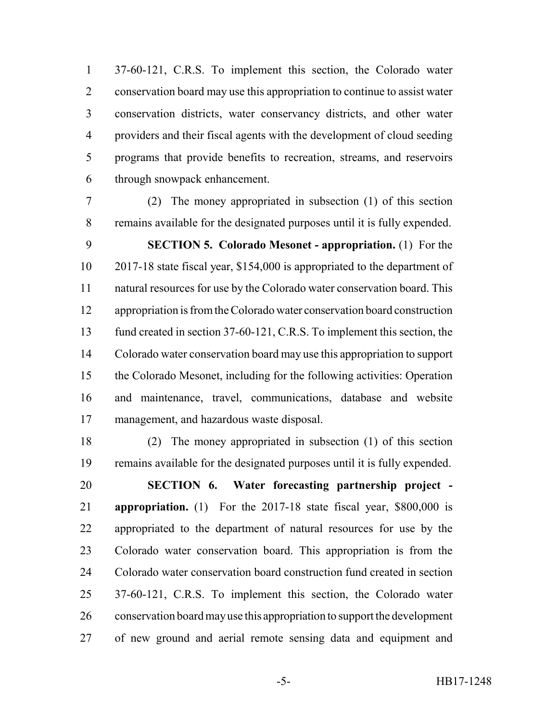37-60-121, C.R.S. To implement this section, the Colorado water conservation board may use this appropriation to continue to assist water conservation districts, water conservancy districts, and other water providers and their fiscal agents with the development of cloud seeding programs that provide benefits to recreation, streams, and reservoirs through snowpack enhancement.

 (2) The money appropriated in subsection (1) of this section remains available for the designated purposes until it is fully expended.

 **SECTION 5. Colorado Mesonet - appropriation.** (1) For the 2017-18 state fiscal year, \$154,000 is appropriated to the department of natural resources for use by the Colorado water conservation board. This appropriation is from the Colorado water conservation board construction fund created in section 37-60-121, C.R.S. To implement this section, the Colorado water conservation board may use this appropriation to support the Colorado Mesonet, including for the following activities: Operation and maintenance, travel, communications, database and website management, and hazardous waste disposal.

 (2) The money appropriated in subsection (1) of this section remains available for the designated purposes until it is fully expended.

 **SECTION 6. Water forecasting partnership project - appropriation.** (1) For the 2017-18 state fiscal year, \$800,000 is appropriated to the department of natural resources for use by the Colorado water conservation board. This appropriation is from the Colorado water conservation board construction fund created in section 37-60-121, C.R.S. To implement this section, the Colorado water conservation board may use this appropriation to support the development of new ground and aerial remote sensing data and equipment and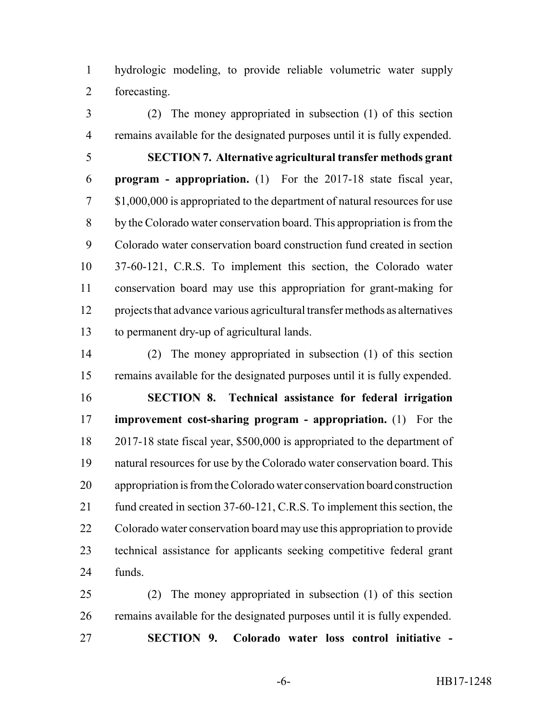hydrologic modeling, to provide reliable volumetric water supply forecasting.

 (2) The money appropriated in subsection (1) of this section remains available for the designated purposes until it is fully expended.

 **SECTION 7. Alternative agricultural transfer methods grant program - appropriation.** (1) For the 2017-18 state fiscal year, \$1,000,000 is appropriated to the department of natural resources for use by the Colorado water conservation board. This appropriation is from the Colorado water conservation board construction fund created in section 37-60-121, C.R.S. To implement this section, the Colorado water conservation board may use this appropriation for grant-making for projects that advance various agricultural transfer methods as alternatives to permanent dry-up of agricultural lands.

 (2) The money appropriated in subsection (1) of this section remains available for the designated purposes until it is fully expended. **SECTION 8. Technical assistance for federal irrigation improvement cost-sharing program - appropriation.** (1) For the 2017-18 state fiscal year, \$500,000 is appropriated to the department of natural resources for use by the Colorado water conservation board. This appropriation is from the Colorado water conservation board construction 21 fund created in section 37-60-121, C.R.S. To implement this section, the Colorado water conservation board may use this appropriation to provide technical assistance for applicants seeking competitive federal grant funds.

 (2) The money appropriated in subsection (1) of this section remains available for the designated purposes until it is fully expended.

**SECTION 9. Colorado water loss control initiative -**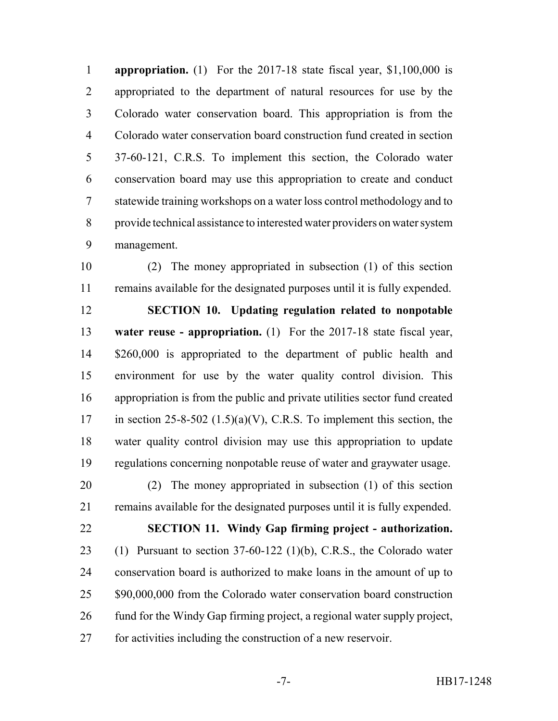**appropriation.** (1) For the 2017-18 state fiscal year, \$1,100,000 is appropriated to the department of natural resources for use by the Colorado water conservation board. This appropriation is from the Colorado water conservation board construction fund created in section 37-60-121, C.R.S. To implement this section, the Colorado water conservation board may use this appropriation to create and conduct statewide training workshops on a water loss control methodology and to provide technical assistance to interested water providers on water system management.

 (2) The money appropriated in subsection (1) of this section remains available for the designated purposes until it is fully expended.

 **SECTION 10. Updating regulation related to nonpotable water reuse - appropriation.** (1) For the 2017-18 state fiscal year, \$260,000 is appropriated to the department of public health and environment for use by the water quality control division. This appropriation is from the public and private utilities sector fund created 17 in section 25-8-502  $(1.5)(a)(V)$ , C.R.S. To implement this section, the water quality control division may use this appropriation to update regulations concerning nonpotable reuse of water and graywater usage.

 (2) The money appropriated in subsection (1) of this section remains available for the designated purposes until it is fully expended.

# **SECTION 11. Windy Gap firming project - authorization.**

 (1) Pursuant to section 37-60-122 (1)(b), C.R.S., the Colorado water conservation board is authorized to make loans in the amount of up to 25 \$90,000,000 from the Colorado water conservation board construction fund for the Windy Gap firming project, a regional water supply project, for activities including the construction of a new reservoir.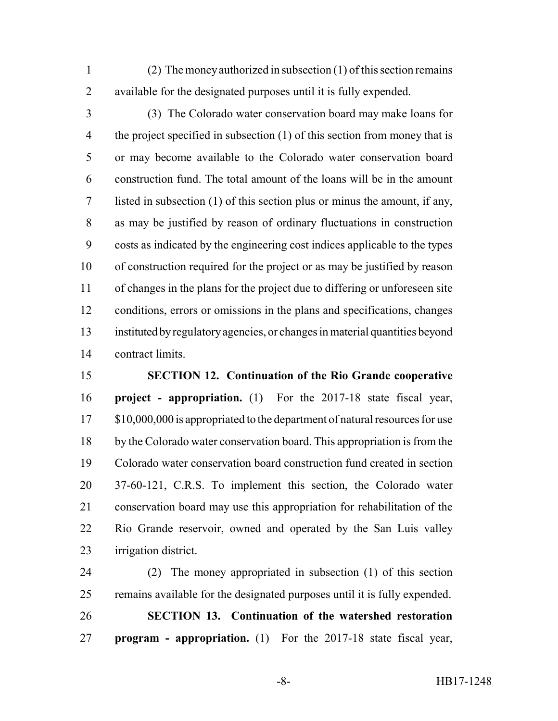(2) The money authorized in subsection (1) of this section remains available for the designated purposes until it is fully expended.

 (3) The Colorado water conservation board may make loans for 4 the project specified in subsection (1) of this section from money that is or may become available to the Colorado water conservation board construction fund. The total amount of the loans will be in the amount listed in subsection (1) of this section plus or minus the amount, if any, as may be justified by reason of ordinary fluctuations in construction costs as indicated by the engineering cost indices applicable to the types of construction required for the project or as may be justified by reason of changes in the plans for the project due to differing or unforeseen site conditions, errors or omissions in the plans and specifications, changes instituted by regulatory agencies, or changes in material quantities beyond contract limits.

 **SECTION 12. Continuation of the Rio Grande cooperative project - appropriation.** (1) For the 2017-18 state fiscal year, 17 \$10,000,000 is appropriated to the department of natural resources for use by the Colorado water conservation board. This appropriation is from the Colorado water conservation board construction fund created in section 37-60-121, C.R.S. To implement this section, the Colorado water conservation board may use this appropriation for rehabilitation of the Rio Grande reservoir, owned and operated by the San Luis valley irrigation district.

 (2) The money appropriated in subsection (1) of this section remains available for the designated purposes until it is fully expended. **SECTION 13. Continuation of the watershed restoration program - appropriation.** (1) For the 2017-18 state fiscal year,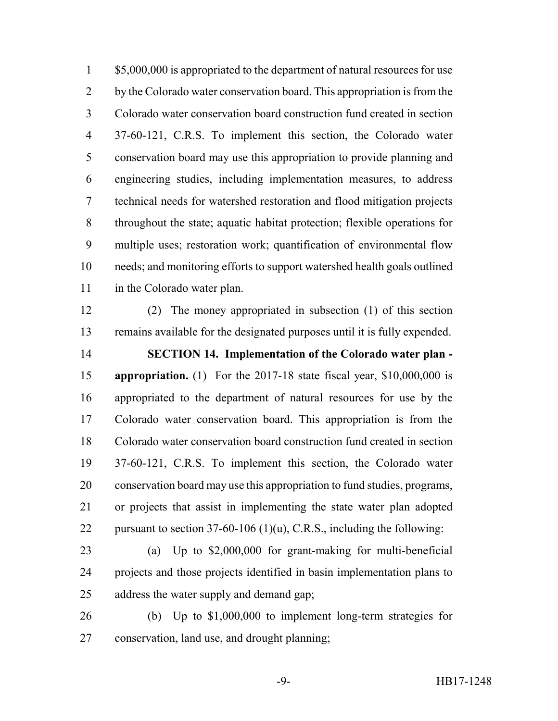1 \$5,000,000 is appropriated to the department of natural resources for use 2 by the Colorado water conservation board. This appropriation is from the Colorado water conservation board construction fund created in section 37-60-121, C.R.S. To implement this section, the Colorado water conservation board may use this appropriation to provide planning and engineering studies, including implementation measures, to address technical needs for watershed restoration and flood mitigation projects throughout the state; aquatic habitat protection; flexible operations for multiple uses; restoration work; quantification of environmental flow needs; and monitoring efforts to support watershed health goals outlined in the Colorado water plan.

 (2) The money appropriated in subsection (1) of this section remains available for the designated purposes until it is fully expended.

 **SECTION 14. Implementation of the Colorado water plan - appropriation.** (1) For the 2017-18 state fiscal year, \$10,000,000 is appropriated to the department of natural resources for use by the Colorado water conservation board. This appropriation is from the Colorado water conservation board construction fund created in section 37-60-121, C.R.S. To implement this section, the Colorado water conservation board may use this appropriation to fund studies, programs, or projects that assist in implementing the state water plan adopted 22 pursuant to section 37-60-106 (1)(u), C.R.S., including the following:

 (a) Up to \$2,000,000 for grant-making for multi-beneficial projects and those projects identified in basin implementation plans to address the water supply and demand gap;

 (b) Up to \$1,000,000 to implement long-term strategies for conservation, land use, and drought planning;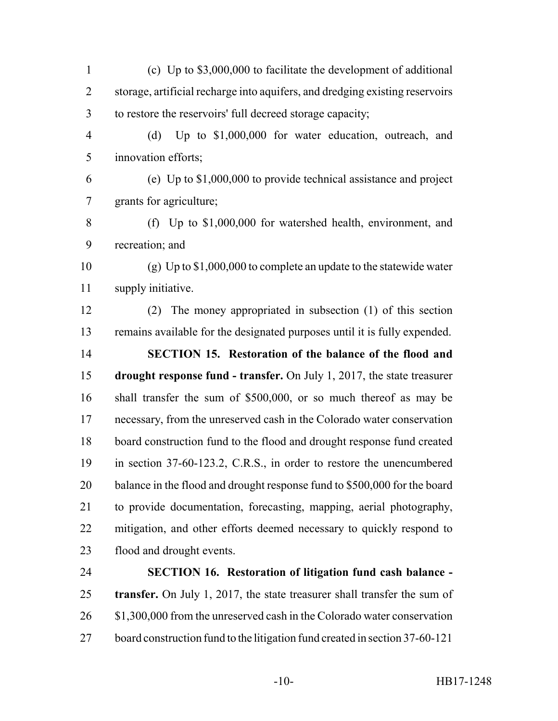(c) Up to \$3,000,000 to facilitate the development of additional storage, artificial recharge into aquifers, and dredging existing reservoirs to restore the reservoirs' full decreed storage capacity; (d) Up to \$1,000,000 for water education, outreach, and

 innovation efforts; (e) Up to \$1,000,000 to provide technical assistance and project

grants for agriculture;

 (f) Up to \$1,000,000 for watershed health, environment, and recreation; and

 (g) Up to \$1,000,000 to complete an update to the statewide water supply initiative.

 (2) The money appropriated in subsection (1) of this section remains available for the designated purposes until it is fully expended.

 **SECTION 15. Restoration of the balance of the flood and drought response fund - transfer.** On July 1, 2017, the state treasurer shall transfer the sum of \$500,000, or so much thereof as may be necessary, from the unreserved cash in the Colorado water conservation board construction fund to the flood and drought response fund created in section 37-60-123.2, C.R.S., in order to restore the unencumbered 20 balance in the flood and drought response fund to \$500,000 for the board to provide documentation, forecasting, mapping, aerial photography, mitigation, and other efforts deemed necessary to quickly respond to flood and drought events.

 **SECTION 16. Restoration of litigation fund cash balance - transfer.** On July 1, 2017, the state treasurer shall transfer the sum of 26 \$1,300,000 from the unreserved cash in the Colorado water conservation board construction fund to the litigation fund created in section 37-60-121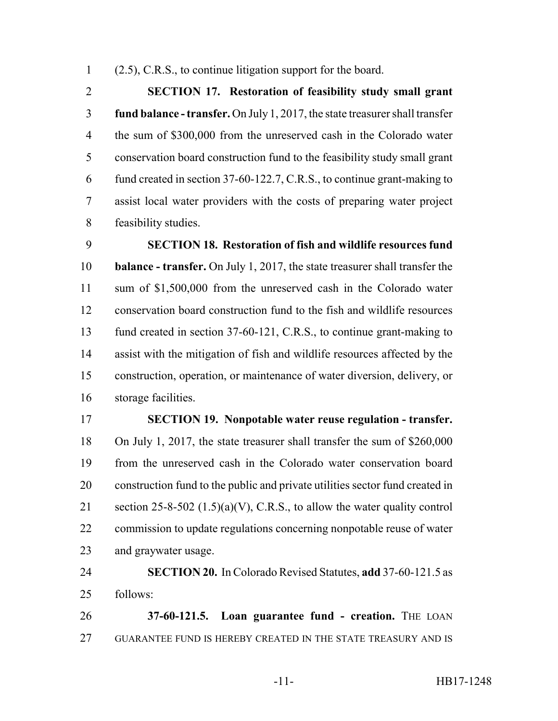(2.5), C.R.S., to continue litigation support for the board.

 **SECTION 17. Restoration of feasibility study small grant fund balance - transfer.** On July 1, 2017, the state treasurer shall transfer the sum of \$300,000 from the unreserved cash in the Colorado water conservation board construction fund to the feasibility study small grant fund created in section 37-60-122.7, C.R.S., to continue grant-making to assist local water providers with the costs of preparing water project feasibility studies.

 **SECTION 18. Restoration of fish and wildlife resources fund balance - transfer.** On July 1, 2017, the state treasurer shall transfer the sum of \$1,500,000 from the unreserved cash in the Colorado water conservation board construction fund to the fish and wildlife resources fund created in section 37-60-121, C.R.S., to continue grant-making to assist with the mitigation of fish and wildlife resources affected by the construction, operation, or maintenance of water diversion, delivery, or storage facilities.

 **SECTION 19. Nonpotable water reuse regulation - transfer.** On July 1, 2017, the state treasurer shall transfer the sum of \$260,000 from the unreserved cash in the Colorado water conservation board construction fund to the public and private utilities sector fund created in 21 section 25-8-502  $(1.5)(a)(V)$ , C.R.S., to allow the water quality control commission to update regulations concerning nonpotable reuse of water and graywater usage.

 **SECTION 20.** In Colorado Revised Statutes, **add** 37-60-121.5 as follows:

 **37-60-121.5. Loan guarantee fund - creation.** THE LOAN GUARANTEE FUND IS HEREBY CREATED IN THE STATE TREASURY AND IS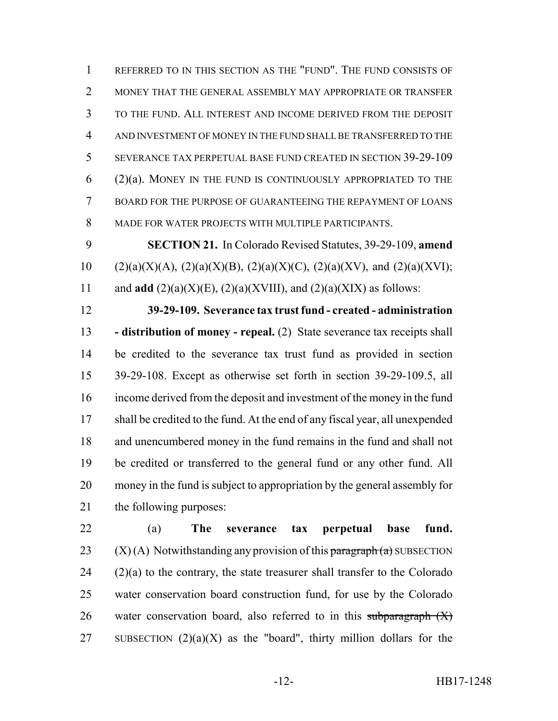REFERRED TO IN THIS SECTION AS THE "FUND". THE FUND CONSISTS OF MONEY THAT THE GENERAL ASSEMBLY MAY APPROPRIATE OR TRANSFER TO THE FUND. ALL INTEREST AND INCOME DERIVED FROM THE DEPOSIT AND INVESTMENT OF MONEY IN THE FUND SHALL BE TRANSFERRED TO THE SEVERANCE TAX PERPETUAL BASE FUND CREATED IN SECTION 39-29-109 (2)(a). MONEY IN THE FUND IS CONTINUOUSLY APPROPRIATED TO THE BOARD FOR THE PURPOSE OF GUARANTEEING THE REPAYMENT OF LOANS MADE FOR WATER PROJECTS WITH MULTIPLE PARTICIPANTS.

 **SECTION 21.** In Colorado Revised Statutes, 39-29-109, **amend** 10 (2)(a)(X)(A), (2)(a)(X)(B), (2)(a)(X)(C), (2)(a)(XV), and (2)(a)(XVI); 11 and **add**  $(2)(a)(X)(E)$ ,  $(2)(a)(XVIII)$ , and  $(2)(a)(XIX)$  as follows:

 **39-29-109. Severance tax trust fund - created - administration - distribution of money - repeal.** (2) State severance tax receipts shall be credited to the severance tax trust fund as provided in section 39-29-108. Except as otherwise set forth in section 39-29-109.5, all income derived from the deposit and investment of the money in the fund shall be credited to the fund. At the end of any fiscal year, all unexpended and unencumbered money in the fund remains in the fund and shall not be credited or transferred to the general fund or any other fund. All money in the fund is subject to appropriation by the general assembly for the following purposes:

 (a) **The severance tax perpetual base fund.** 23 (X) (A) Notwithstanding any provision of this paragraph  $(a)$  SUBSECTION (2)(a) to the contrary, the state treasurer shall transfer to the Colorado water conservation board construction fund, for use by the Colorado 26 water conservation board, also referred to in this subparagraph  $(X)$ 27 SUBSECTION  $(2)(a)(X)$  as the "board", thirty million dollars for the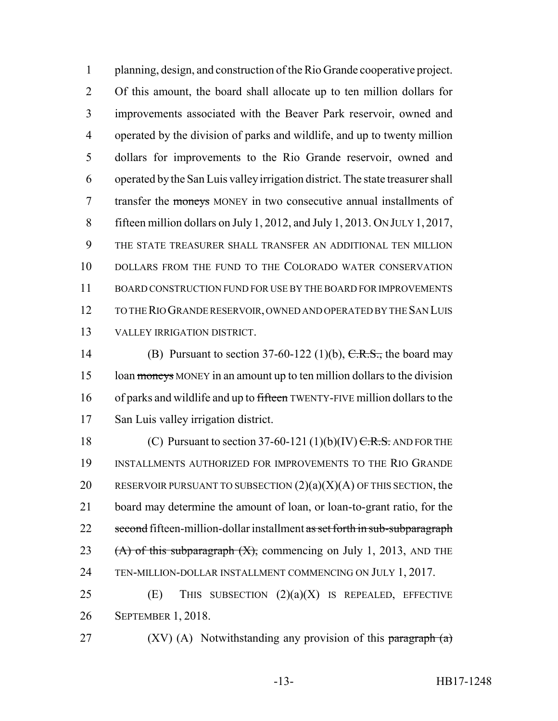planning, design, and construction of the Rio Grande cooperative project. Of this amount, the board shall allocate up to ten million dollars for improvements associated with the Beaver Park reservoir, owned and operated by the division of parks and wildlife, and up to twenty million dollars for improvements to the Rio Grande reservoir, owned and operated by the San Luis valley irrigation district. The state treasurer shall transfer the moneys MONEY in two consecutive annual installments of fifteen million dollars on July 1, 2012, and July 1, 2013. ON JULY 1, 2017, THE STATE TREASURER SHALL TRANSFER AN ADDITIONAL TEN MILLION 10 DOLLARS FROM THE FUND TO THE COLORADO WATER CONSERVATION BOARD CONSTRUCTION FUND FOR USE BY THE BOARD FOR IMPROVEMENTS TO THE RIO GRANDE RESERVOIR, OWNED AND OPERATED BY THE SAN LUIS VALLEY IRRIGATION DISTRICT.

14 (B) Pursuant to section  $37-60-122$  (1)(b), C.R.S., the board may 15 loan moneys MONEY in an amount up to ten million dollars to the division 16 of parks and wildlife and up to fifteen TWENTY-FIVE million dollars to the San Luis valley irrigation district.

18 (C) Pursuant to section 37-60-121 (1)(b)(IV)  $C.R.S.$  AND FOR THE INSTALLMENTS AUTHORIZED FOR IMPROVEMENTS TO THE RIO GRANDE 20 RESERVOIR PURSUANT TO SUBSECTION  $(2)(a)(X)(A)$  OF THIS SECTION, the board may determine the amount of loan, or loan-to-grant ratio, for the 22 second fifteen-million-dollar installment as set forth in sub-subparagraph 23 (A) of this subparagraph  $(X)$ , commencing on July 1, 2013, AND THE TEN-MILLION-DOLLAR INSTALLMENT COMMENCING ON JULY 1, 2017.

25 (E) THIS SUBSECTION  $(2)(a)(X)$  IS REPEALED, EFFECTIVE SEPTEMBER 1, 2018.

27 (XV) (A) Notwithstanding any provision of this paragraph  $(a)$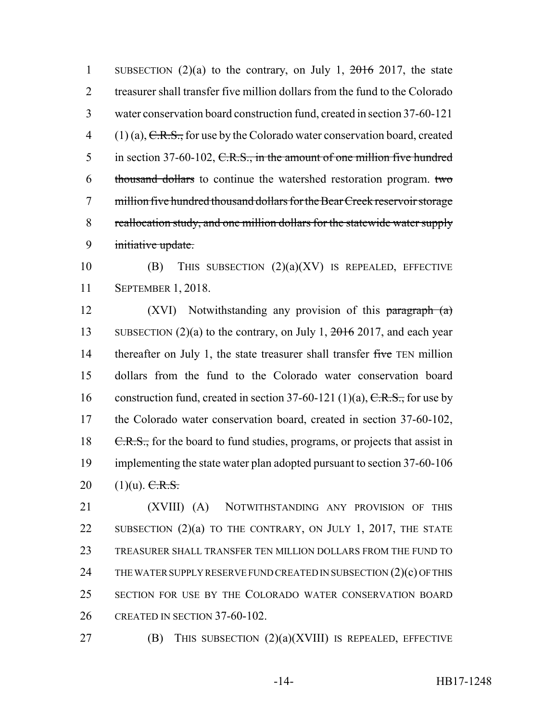1 SUBSECTION  $(2)(a)$  to the contrary, on July 1,  $2016$  2017, the state 2 treasurer shall transfer five million dollars from the fund to the Colorado 3 water conservation board construction fund, created in section 37-60-121  $(1)$  (a), C.R.S., for use by the Colorado water conservation board, created 5 in section 37-60-102, C.R.S., in the amount of one million five hundred 6 thousand dollars to continue the watershed restoration program. two 7 million five hundred thousand dollars for the Bear Creek reservoir storage 8 reallocation study, and one million dollars for the statewide water supply 9 initiative update.

10  $(B)$  THIS SUBSECTION  $(2)(a)(XV)$  IS REPEALED, EFFECTIVE 11 SEPTEMBER 1, 2018.

12 (XVI) Notwithstanding any provision of this paragraph (a) 13 SUBSECTION (2)(a) to the contrary, on July 1,  $\frac{2016}{2017}$ , and each year 14 thereafter on July 1, the state treasurer shall transfer five TEN million 15 dollars from the fund to the Colorado water conservation board 16 construction fund, created in section 37-60-121 (1)(a),  $C.R.S.,$  for use by 17 the Colorado water conservation board, created in section 37-60-102, 18 <del>C.R.S.,</del> for the board to fund studies, programs, or projects that assist in 19 implementing the state water plan adopted pursuant to section 37-60-106 20  $(1)(u)$ . C.R.S.

 (XVIII) (A) NOTWITHSTANDING ANY PROVISION OF THIS 22 SUBSECTION (2)(a) TO THE CONTRARY, ON JULY 1, 2017, THE STATE TREASURER SHALL TRANSFER TEN MILLION DOLLARS FROM THE FUND TO 24 THE WATER SUPPLY RESERVE FUND CREATED IN SUBSECTION (2)(c) OF THIS SECTION FOR USE BY THE COLORADO WATER CONSERVATION BOARD CREATED IN SECTION 37-60-102.

27 **(B)** THIS SUBSECTION  $(2)(a)(XVIII)$  IS REPEALED, EFFECTIVE